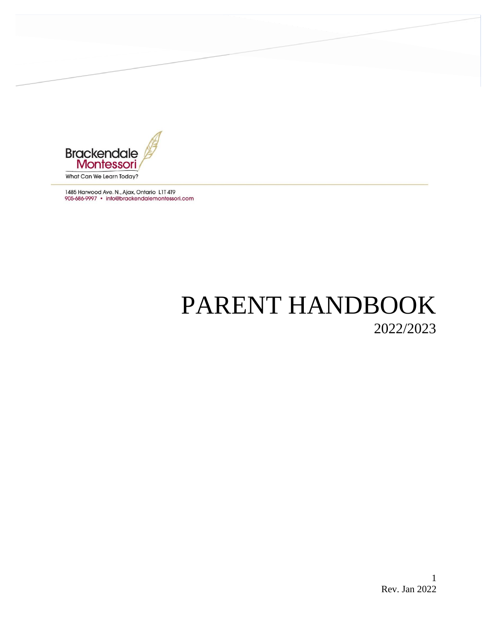

1485 Harwood Ave. N., Ajax, Ontario L1T 4T9 905-686-9997 · info@brackendalemontessori.com

# PARENT HANDBOOK 2022/2023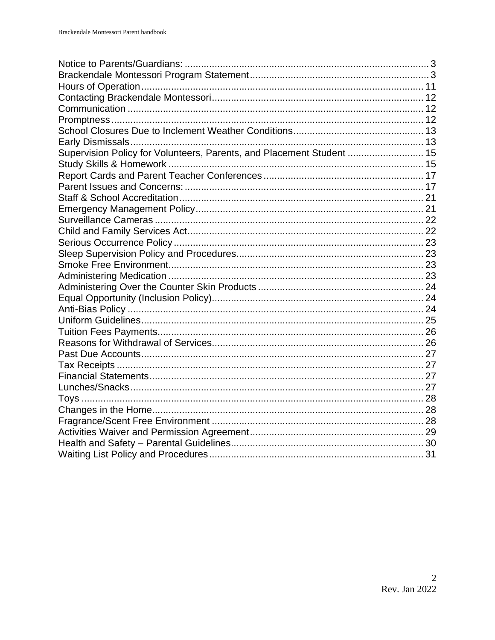| Supervision Policy for Volunteers, Parents, and Placement Student  15 |  |
|-----------------------------------------------------------------------|--|
|                                                                       |  |
|                                                                       |  |
|                                                                       |  |
|                                                                       |  |
|                                                                       |  |
|                                                                       |  |
|                                                                       |  |
|                                                                       |  |
|                                                                       |  |
|                                                                       |  |
|                                                                       |  |
|                                                                       |  |
|                                                                       |  |
|                                                                       |  |
|                                                                       |  |
|                                                                       |  |
|                                                                       |  |
|                                                                       |  |
|                                                                       |  |
|                                                                       |  |
|                                                                       |  |
|                                                                       |  |
|                                                                       |  |
|                                                                       |  |
|                                                                       |  |
|                                                                       |  |
|                                                                       |  |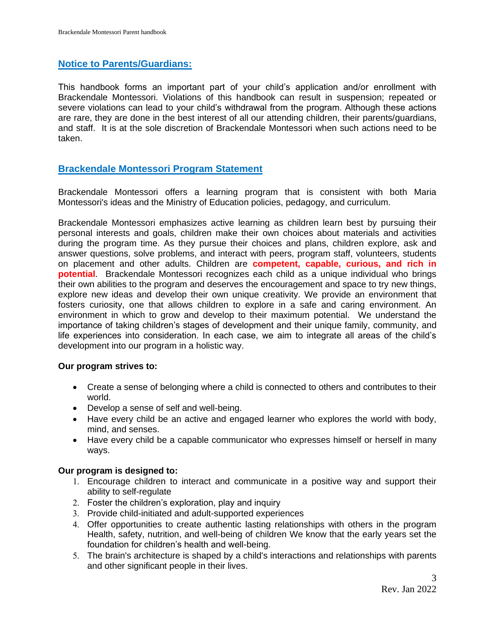# <span id="page-2-0"></span>**Notice to Parents/Guardians:**

This handbook forms an important part of your child's application and/or enrollment with Brackendale Montessori. Violations of this handbook can result in suspension; repeated or severe violations can lead to your child's withdrawal from the program. Although these actions are rare, they are done in the best interest of all our attending children, their parents/guardians, and staff. It is at the sole discretion of Brackendale Montessori when such actions need to be taken.

# <span id="page-2-1"></span>**Brackendale Montessori Program Statement**

Brackendale Montessori offers a learning program that is consistent with both Maria Montessori's ideas and the Ministry of Education policies, pedagogy, and curriculum.

Brackendale Montessori emphasizes active learning as children learn best by pursuing their personal interests and goals, children make their own choices about materials and activities during the program time. As they pursue their choices and plans, children explore, ask and answer questions, solve problems, and interact with peers, program staff, volunteers, students on placement and other adults. Children are **competent, capable, curious, and rich in potential**. Brackendale Montessori recognizes each child as a unique individual who brings their own abilities to the program and deserves the encouragement and space to try new things, explore new ideas and develop their own unique creativity. We provide an environment that fosters curiosity, one that allows children to explore in a safe and caring environment. An environment in which to grow and develop to their maximum potential. We understand the importance of taking children's stages of development and their unique family, community, and life experiences into consideration. In each case, we aim to integrate all areas of the child's development into our program in a holistic way.

## **Our program strives to:**

- Create a sense of belonging where a child is connected to others and contributes to their world.
- Develop a sense of self and well-being.
- Have every child be an active and engaged learner who explores the world with body, mind, and senses.
- Have every child be a capable communicator who expresses himself or herself in many ways.

## **Our program is designed to:**

- Encourage children to interact and communicate in a positive way and support their ability to self-regulate
- Foster the children's exploration, play and inquiry
- Provide child-initiated and adult-supported experiences
- Offer opportunities to create authentic lasting relationships with others in the program Health, safety, nutrition, and well-being of children We know that the early years set the foundation for children's health and well-being.
- The brain's architecture is shaped by a child's interactions and relationships with parents and other significant people in their lives.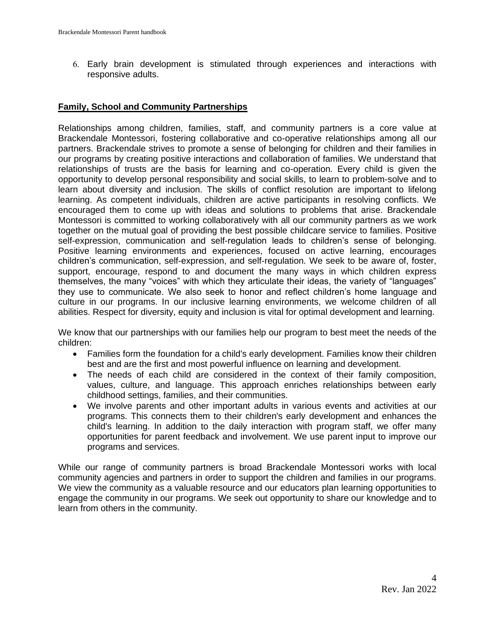Early brain development is stimulated through experiences and interactions with responsive adults.

### **Family, School and Community Partnerships**

Relationships among children, families, staff, and community partners is a core value at Brackendale Montessori, fostering collaborative and co-operative relationships among all our partners. Brackendale strives to promote a sense of belonging for children and their families in our programs by creating positive interactions and collaboration of families. We understand that relationships of trusts are the basis for learning and co-operation. Every child is given the opportunity to develop personal responsibility and social skills, to learn to problem-solve and to learn about diversity and inclusion. The skills of conflict resolution are important to lifelong learning. As competent individuals, children are active participants in resolving conflicts. We encouraged them to come up with ideas and solutions to problems that arise. Brackendale Montessori is committed to working collaboratively with all our community partners as we work together on the mutual goal of providing the best possible childcare service to families. Positive self-expression, communication and self-regulation leads to children's sense of belonging. Positive learning environments and experiences, focused on active learning, encourages children's communication, self-expression, and self-regulation. We seek to be aware of, foster, support, encourage, respond to and document the many ways in which children express themselves, the many "voices" with which they articulate their ideas, the variety of "languages" they use to communicate. We also seek to honor and reflect children's home language and culture in our programs. In our inclusive learning environments, we welcome children of all abilities. Respect for diversity, equity and inclusion is vital for optimal development and learning.

We know that our partnerships with our families help our program to best meet the needs of the children:

- Families form the foundation for a child's early development. Families know their children best and are the first and most powerful influence on learning and development.
- The needs of each child are considered in the context of their family composition, values, culture, and language. This approach enriches relationships between early childhood settings, families, and their communities.
- We involve parents and other important adults in various events and activities at our programs. This connects them to their children's early development and enhances the child's learning. In addition to the daily interaction with program staff, we offer many opportunities for parent feedback and involvement. We use parent input to improve our programs and services.

While our range of community partners is broad Brackendale Montessori works with local community agencies and partners in order to support the children and families in our programs. We view the community as a valuable resource and our educators plan learning opportunities to engage the community in our programs. We seek out opportunity to share our knowledge and to learn from others in the community.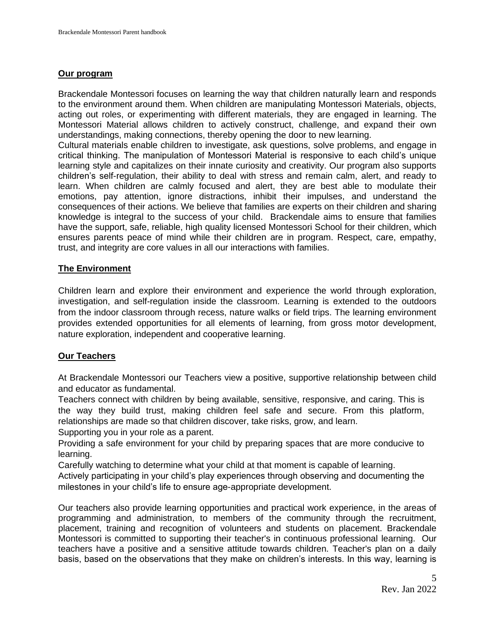### **Our program**

Brackendale Montessori focuses on learning the way that children naturally learn and responds to the environment around them. When children are manipulating Montessori Materials, objects, acting out roles, or experimenting with different materials, they are engaged in learning. The Montessori Material allows children to actively construct, challenge, and expand their own understandings, making connections, thereby opening the door to new learning.

Cultural materials enable children to investigate, ask questions, solve problems, and engage in critical thinking. The manipulation of Montessori Material is responsive to each child's unique learning style and capitalizes on their innate curiosity and creativity. Our program also supports children's self-regulation, their ability to deal with stress and remain calm, alert, and ready to learn. When children are calmly focused and alert, they are best able to modulate their emotions, pay attention, ignore distractions, inhibit their impulses, and understand the consequences of their actions. We believe that families are experts on their children and sharing knowledge is integral to the success of your child. Brackendale aims to ensure that families have the support, safe, reliable, high quality licensed Montessori School for their children, which ensures parents peace of mind while their children are in program. Respect, care, empathy, trust, and integrity are core values in all our interactions with families.

## **The Environment**

Children learn and explore their environment and experience the world through exploration, investigation, and self-regulation inside the classroom. Learning is extended to the outdoors from the indoor classroom through recess, nature walks or field trips. The learning environment provides extended opportunities for all elements of learning, from gross motor development, nature exploration, independent and cooperative learning.

## **Our Teachers**

At Brackendale Montessori our Teachers view a positive, supportive relationship between child and educator as fundamental.

Teachers connect with children by being available, sensitive, responsive, and caring. This is the way they build trust, making children feel safe and secure. From this platform, relationships are made so that children discover, take risks, grow, and learn.

Supporting you in your role as a parent.

Providing a safe environment for your child by preparing spaces that are more conducive to learning.

Carefully watching to determine what your child at that moment is capable of learning. Actively participating in your child's play experiences through observing and documenting the milestones in your child's life to ensure age-appropriate development.

Our teachers also provide learning opportunities and practical work experience, in the areas of programming and administration, to members of the community through the recruitment, placement, training and recognition of volunteers and students on placement. Brackendale Montessori is committed to supporting their teacher's in continuous professional learning. Our teachers have a positive and a sensitive attitude towards children. Teacher's plan on a daily basis, based on the observations that they make on children's interests. In this way, learning is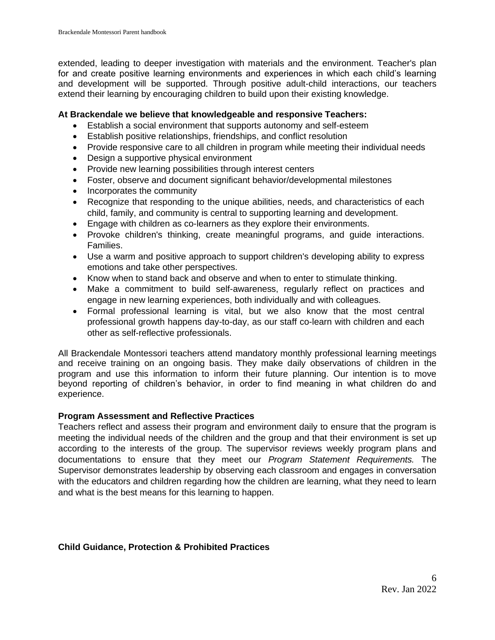extended, leading to deeper investigation with materials and the environment. Teacher's plan for and create positive learning environments and experiences in which each child's learning and development will be supported. Through positive adult-child interactions, our teachers extend their learning by encouraging children to build upon their existing knowledge.

#### **At Brackendale we believe that knowledgeable and responsive Teachers:**

- Establish a social environment that supports autonomy and self-esteem
- Establish positive relationships, friendships, and conflict resolution
- Provide responsive care to all children in program while meeting their individual needs
- Design a supportive physical environment
- Provide new learning possibilities through interest centers
- Foster, observe and document significant behavior/developmental milestones
- Incorporates the community
- Recognize that responding to the unique abilities, needs, and characteristics of each child, family, and community is central to supporting learning and development.
- Engage with children as co-learners as they explore their environments.
- Provoke children's thinking, create meaningful programs, and guide interactions. Families.
- Use a warm and positive approach to support children's developing ability to express emotions and take other perspectives.
- Know when to stand back and observe and when to enter to stimulate thinking.
- Make a commitment to build self-awareness, regularly reflect on practices and engage in new learning experiences, both individually and with colleagues.
- Formal professional learning is vital, but we also know that the most central professional growth happens day-to-day, as our staff co-learn with children and each other as self-reflective professionals.

All Brackendale Montessori teachers attend mandatory monthly professional learning meetings and receive training on an ongoing basis. They make daily observations of children in the program and use this information to inform their future planning. Our intention is to move beyond reporting of children's behavior, in order to find meaning in what children do and experience.

## **Program Assessment and Reflective Practices**

Teachers reflect and assess their program and environment daily to ensure that the program is meeting the individual needs of the children and the group and that their environment is set up according to the interests of the group. The supervisor reviews weekly program plans and documentations to ensure that they meet our *Program Statement Requirements.* The Supervisor demonstrates leadership by observing each classroom and engages in conversation with the educators and children regarding how the children are learning, what they need to learn and what is the best means for this learning to happen.

## **Child Guidance, Protection & Prohibited Practices**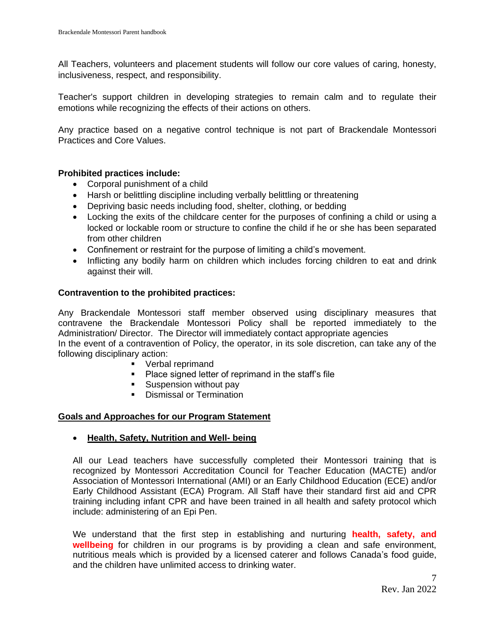All Teachers, volunteers and placement students will follow our core values of caring, honesty, inclusiveness, respect, and responsibility.

Teacher's support children in developing strategies to remain calm and to regulate their emotions while recognizing the effects of their actions on others.

Any practice based on a negative control technique is not part of Brackendale Montessori Practices and Core Values.

## **Prohibited practices include:**

- Corporal punishment of a child
- Harsh or belittling discipline including verbally belittling or threatening
- Depriving basic needs including food, shelter, clothing, or bedding
- Locking the exits of the childcare center for the purposes of confining a child or using a locked or lockable room or structure to confine the child if he or she has been separated from other children
- Confinement or restraint for the purpose of limiting a child's movement.
- Inflicting any bodily harm on children which includes forcing children to eat and drink against their will.

## **Contravention to the prohibited practices:**

Any Brackendale Montessori staff member observed using disciplinary measures that contravene the Brackendale Montessori Policy shall be reported immediately to the Administration/ Director. The Director will immediately contact appropriate agencies In the event of a contravention of Policy, the operator, in its sole discretion, can take any of the following disciplinary action:

- Verbal reprimand
- Place signed letter of reprimand in the staff's file
- Suspension without pay
- **Dismissal or Termination**

#### **Goals and Approaches for our Program Statement**

#### • **Health, Safety, Nutrition and Well- being**

All our Lead teachers have successfully completed their Montessori training that is recognized by Montessori Accreditation Council for Teacher Education (MACTE) and/or Association of Montessori International (AMI) or an Early Childhood Education (ECE) and/or Early Childhood Assistant (ECA) Program. All Staff have their standard first aid and CPR training including infant CPR and have been trained in all health and safety protocol which include: administering of an Epi Pen.

We understand that the first step in establishing and nurturing **health, safety, and wellbeing** for children in our programs is by providing a clean and safe environment, nutritious meals which is provided by a licensed caterer and follows Canada's food guide, and the children have unlimited access to drinking water.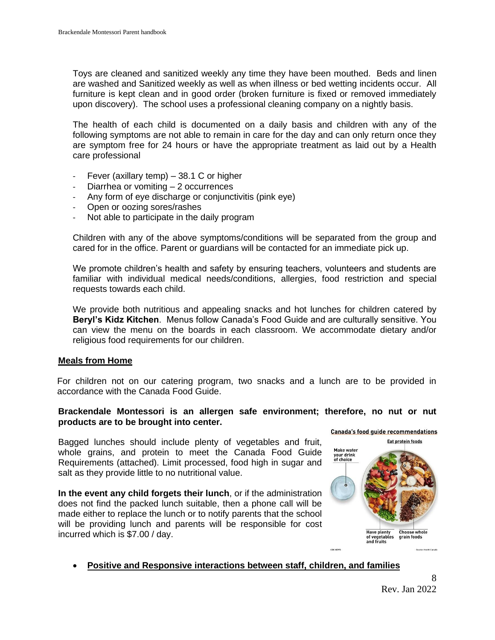Toys are cleaned and sanitized weekly any time they have been mouthed. Beds and linen are washed and Sanitized weekly as well as when illness or bed wetting incidents occur. All furniture is kept clean and in good order (broken furniture is fixed or removed immediately upon discovery). The school uses a professional cleaning company on a nightly basis.

The health of each child is documented on a daily basis and children with any of the following symptoms are not able to remain in care for the day and can only return once they are symptom free for 24 hours or have the appropriate treatment as laid out by a Health care professional

- Fever (axillary temp) 38.1 C or higher
- Diarrhea or vomiting 2 occurrences
- Any form of eye discharge or conjunctivitis (pink eye)
- Open or oozing sores/rashes
- Not able to participate in the daily program

Children with any of the above symptoms/conditions will be separated from the group and cared for in the office. Parent or guardians will be contacted for an immediate pick up.

We promote children's health and safety by ensuring teachers, volunteers and students are familiar with individual medical needs/conditions, allergies, food restriction and special requests towards each child.

We provide both nutritious and appealing snacks and hot lunches for children catered by **Beryl's Kidz Kitchen**. Menus follow Canada's Food Guide and are culturally sensitive. You can view the menu on the boards in each classroom. We accommodate dietary and/or religious food requirements for our children.

## **Meals from Home**

For children not on our catering program, two snacks and a lunch are to be provided in accordance with the Canada Food Guide.

#### **Brackendale Montessori is an allergen safe environment; therefore, no nut or nut products are to be brought into center.**

Bagged lunches should include plenty of vegetables and fruit, whole grains, and protein to meet the Canada Food Guide Requirements (attached). Limit processed, food high in sugar and salt as they provide little to no nutritional value.

**In the event any child forgets their lunch**, or if the administration does not find the packed lunch suitable, then a phone call will be made either to replace the lunch or to notify parents that the school will be providing lunch and parents will be responsible for cost incurred which is \$7.00 / day.



## • **Positive and Responsive interactions between staff, children, and families**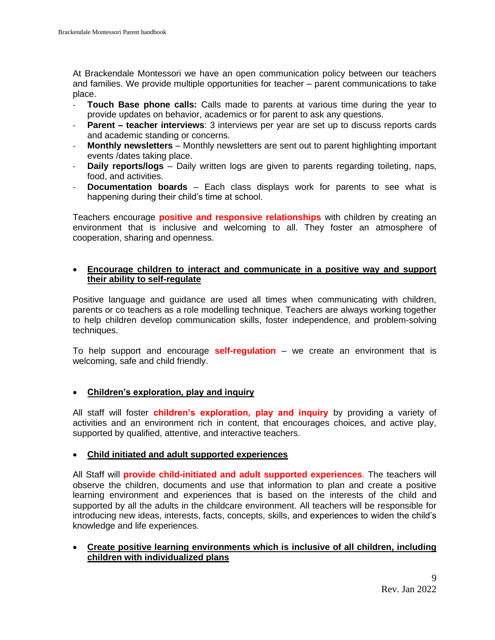At Brackendale Montessori we have an open communication policy between our teachers and families. We provide multiple opportunities for teacher – parent communications to take place.

- **Touch Base phone calls:** Calls made to parents at various time during the year to provide updates on behavior, academics or for parent to ask any questions.
- **Parent – teacher interviews**: 3 interviews per year are set up to discuss reports cards and academic standing or concerns.
- **Monthly newsletters**  Monthly newsletters are sent out to parent highlighting important events /dates taking place.
- **Daily reports/logs**  Daily written logs are given to parents regarding toileting, naps, food, and activities.
- **Documentation boards**  Each class displays work for parents to see what is happening during their child's time at school.

Teachers encourage **positive and responsive relationships** with children by creating an environment that is inclusive and welcoming to all. They foster an atmosphere of cooperation, sharing and openness.

# • **Encourage children to interact and communicate in a positive way and support their ability to self-regulate**

Positive language and guidance are used all times when communicating with children, parents or co teachers as a role modelling technique. Teachers are always working together to help children develop communication skills, foster independence, and problem-solving techniques.

To help support and encourage **self-regulation** – we create an environment that is welcoming, safe and child friendly.

# • **Children's exploration, play and inquiry**

All staff will foster **children's exploration, play and inquiry** by providing a variety of activities and an environment rich in content, that encourages choices, and active play, supported by qualified, attentive, and interactive teachers.

## • **Child initiated and adult supported experiences**

All Staff will **provide child-initiated and adult supported experiences**. The teachers will observe the children, documents and use that information to plan and create a positive learning environment and experiences that is based on the interests of the child and supported by all the adults in the childcare environment. All teachers will be responsible for introducing new ideas, interests, facts, concepts, skills, and experiences to widen the child's knowledge and life experiences.

#### • **Create positive learning environments which is inclusive of all children, including children with individualized plans**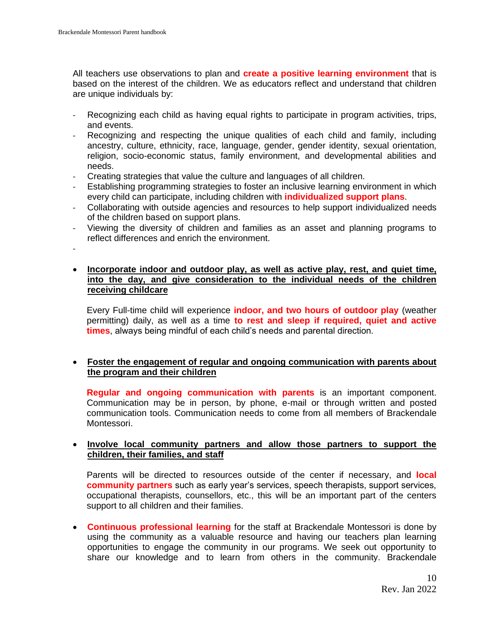All teachers use observations to plan and **create a positive learning environment** that is based on the interest of the children. We as educators reflect and understand that children are unique individuals by:

- Recognizing each child as having equal rights to participate in program activities, trips, and events.
- Recognizing and respecting the unique qualities of each child and family, including ancestry, culture, ethnicity, race, language, gender, gender identity, sexual orientation, religion, socio-economic status, family environment, and developmental abilities and needs.
- Creating strategies that value the culture and languages of all children.
- Establishing programming strategies to foster an inclusive learning environment in which every child can participate, including children with **individualized support plans**.
- Collaborating with outside agencies and resources to help support individualized needs of the children based on support plans.
- Viewing the diversity of children and families as an asset and planning programs to reflect differences and enrich the environment.

-

### • **Incorporate indoor and outdoor play, as well as active play, rest, and quiet time, into the day, and give consideration to the individual needs of the children receiving childcare**

Every Full-time child will experience **indoor, and two hours of outdoor play** (weather permitting) daily, as well as a time **to rest and sleep if required, quiet and active times**, always being mindful of each child's needs and parental direction.

# • **Foster the engagement of regular and ongoing communication with parents about the program and their children**

**Regular and ongoing communication with parents** is an important component. Communication may be in person, by phone, e-mail or through written and posted communication tools. Communication needs to come from all members of Brackendale Montessori.

## • **Involve local community partners and allow those partners to support the children, their families, and staff**

Parents will be directed to resources outside of the center if necessary, and **local community partners** such as early year's services, speech therapists, support services, occupational therapists, counsellors, etc., this will be an important part of the centers support to all children and their families.

• **Continuous professional learning** for the staff at Brackendale Montessori is done by using the community as a valuable resource and having our teachers plan learning opportunities to engage the community in our programs. We seek out opportunity to share our knowledge and to learn from others in the community. Brackendale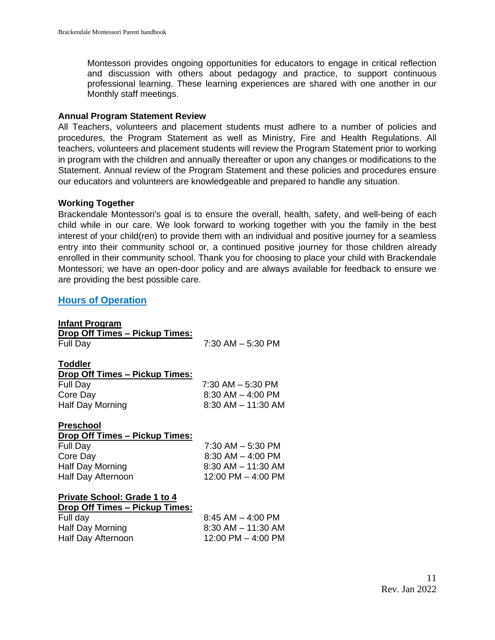Montessori provides ongoing opportunities for educators to engage in critical reflection and discussion with others about pedagogy and practice, to support continuous professional learning. These learning experiences are shared with one another in our Monthly staff meetings.

#### **Annual Program Statement Review**

All Teachers, volunteers and placement students must adhere to a number of policies and procedures, the Program Statement as well as Ministry, Fire and Health Regulations. All teachers, volunteers and placement students will review the Program Statement prior to working in program with the children and annually thereafter or upon any changes or modifications to the Statement. Annual review of the Program Statement and these policies and procedures ensure our educators and volunteers are knowledgeable and prepared to handle any situation.

#### **Working Together**

Brackendale Montessori's goal is to ensure the overall, health, safety, and well-being of each child while in our care. We look forward to working together with you the family in the best interest of your child(ren) to provide them with an individual and positive journey for a seamless entry into their community school or, a continued positive journey for those children already enrolled in their community school. Thank you for choosing to place your child with Brackendale Montessori; we have an open-door policy and are always available for feedback to ensure we are providing the best possible care.

#### <span id="page-10-0"></span>**Hours of Operation**

| Infant Program                        |                       |
|---------------------------------------|-----------------------|
| <b>Drop Off Times – Pickup Times:</b> |                       |
| Full Day                              | $7:30$ AM $-5:30$ PM  |
|                                       |                       |
| <b>Toddler</b>                        |                       |
| <b>Drop Off Times – Pickup Times:</b> |                       |
| Full Day                              | 7:30 AM - 5:30 PM     |
| Core Day                              | $8:30$ AM $-$ 4:00 PM |
| Half Day Morning                      | 8:30 AM - 11:30 AM    |
|                                       |                       |
| <b>Preschool</b>                      |                       |
| <b>Drop Off Times – Pickup Times:</b> |                       |
| Full Day                              | 7:30 AM - 5:30 PM     |
| Core Day                              | $8:30$ AM $-$ 4:00 PM |
| Half Day Morning                      | 8:30 AM - 11:30 AM    |
| Half Day Afternoon                    | 12:00 PM – 4:00 PM    |
| <b>Private School: Grade 1 to 4</b>   |                       |
| <b>Drop Off Times - Pickup Times:</b> |                       |
| Full day                              | $8:45$ AM $-$ 4:00 PM |
| Half Day Morning                      | 8:30 AM - 11:30 AM    |
|                                       | 12:00 PM – 4:00 PM    |
| Half Day Afternoon                    |                       |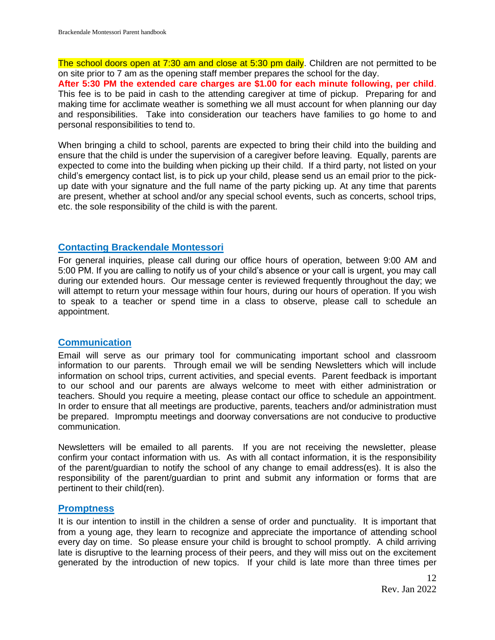The school doors open at 7:30 am and close at 5:30 pm daily. Children are not permitted to be on site prior to 7 am as the opening staff member prepares the school for the day.

**After 5:30 PM the extended care charges are \$1.00 for each minute following, per child**. This fee is to be paid in cash to the attending caregiver at time of pickup. Preparing for and making time for acclimate weather is something we all must account for when planning our day and responsibilities. Take into consideration our teachers have families to go home to and personal responsibilities to tend to.

When bringing a child to school, parents are expected to bring their child into the building and ensure that the child is under the supervision of a caregiver before leaving. Equally, parents are expected to come into the building when picking up their child. If a third party, not listed on your child's emergency contact list, is to pick up your child, please send us an email prior to the pickup date with your signature and the full name of the party picking up. At any time that parents are present, whether at school and/or any special school events, such as concerts, school trips, etc. the sole responsibility of the child is with the parent.

#### <span id="page-11-0"></span>**Contacting Brackendale Montessori**

For general inquiries, please call during our office hours of operation, between 9:00 AM and 5:00 PM. If you are calling to notify us of your child's absence or your call is urgent, you may call during our extended hours. Our message center is reviewed frequently throughout the day; we will attempt to return your message within four hours, during our hours of operation. If you wish to speak to a teacher or spend time in a class to observe, please call to schedule an appointment.

## <span id="page-11-1"></span>**Communication**

Email will serve as our primary tool for communicating important school and classroom information to our parents. Through email we will be sending Newsletters which will include information on school trips, current activities, and special events. Parent feedback is important to our school and our parents are always welcome to meet with either administration or teachers. Should you require a meeting, please contact our office to schedule an appointment. In order to ensure that all meetings are productive, parents, teachers and/or administration must be prepared. Impromptu meetings and doorway conversations are not conducive to productive communication.

Newsletters will be emailed to all parents. If you are not receiving the newsletter, please confirm your contact information with us. As with all contact information, it is the responsibility of the parent/guardian to notify the school of any change to email address(es). It is also the responsibility of the parent/guardian to print and submit any information or forms that are pertinent to their child(ren).

#### <span id="page-11-2"></span>**Promptness**

It is our intention to instill in the children a sense of order and punctuality. It is important that from a young age, they learn to recognize and appreciate the importance of attending school every day on time. So please ensure your child is brought to school promptly. A child arriving late is disruptive to the learning process of their peers, and they will miss out on the excitement generated by the introduction of new topics. If your child is late more than three times per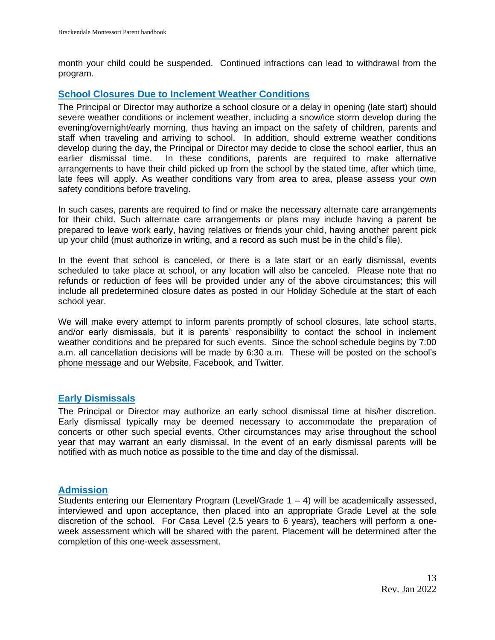month your child could be suspended. Continued infractions can lead to withdrawal from the program.

### <span id="page-12-0"></span>**School Closures Due to Inclement Weather Conditions**

The Principal or Director may authorize a school closure or a delay in opening (late start) should severe weather conditions or inclement weather, including a snow/ice storm develop during the evening/overnight/early morning, thus having an impact on the safety of children, parents and staff when traveling and arriving to school. In addition, should extreme weather conditions develop during the day, the Principal or Director may decide to close the school earlier, thus an earlier dismissal time. In these conditions, parents are required to make alternative arrangements to have their child picked up from the school by the stated time, after which time, late fees will apply. As weather conditions vary from area to area, please assess your own safety conditions before traveling.

In such cases, parents are required to find or make the necessary alternate care arrangements for their child. Such alternate care arrangements or plans may include having a parent be prepared to leave work early, having relatives or friends your child, having another parent pick up your child (must authorize in writing, and a record as such must be in the child's file).

In the event that school is canceled, or there is a late start or an early dismissal, events scheduled to take place at school, or any location will also be canceled. Please note that no refunds or reduction of fees will be provided under any of the above circumstances; this will include all predetermined closure dates as posted in our Holiday Schedule at the start of each school year.

We will make every attempt to inform parents promptly of school closures, late school starts, and/or early dismissals, but it is parents' responsibility to contact the school in inclement weather conditions and be prepared for such events. Since the school schedule begins by 7:00 a.m. all cancellation decisions will be made by 6:30 a.m. These will be posted on the school's phone message and our Website, Facebook, and Twitter.

#### <span id="page-12-1"></span>**Early Dismissals**

The Principal or Director may authorize an early school dismissal time at his/her discretion. Early dismissal typically may be deemed necessary to accommodate the preparation of concerts or other such special events. Other circumstances may arise throughout the school year that may warrant an early dismissal. In the event of an early dismissal parents will be notified with as much notice as possible to the time and day of the dismissal.

# **Admission**

Students entering our Elementary Program (Level/Grade  $1 - 4$ ) will be academically assessed, interviewed and upon acceptance, then placed into an appropriate Grade Level at the sole discretion of the school. For Casa Level (2.5 years to 6 years), teachers will perform a oneweek assessment which will be shared with the parent. Placement will be determined after the completion of this one-week assessment.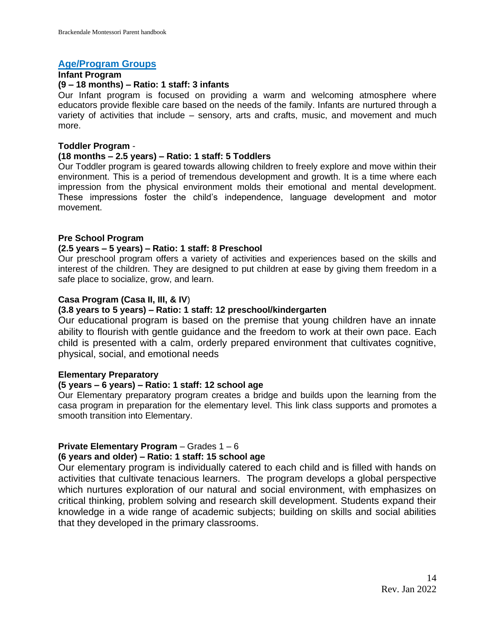### **Age/Program Groups**

#### **Infant Program**

# **(9 – 18 months) – Ratio: 1 staff: 3 infants**

Our Infant program is focused on providing a warm and welcoming atmosphere where educators provide flexible care based on the needs of the family. Infants are nurtured through a variety of activities that include – sensory, arts and crafts, music, and movement and much more.

#### **Toddler Program** -

#### **(18 months – 2.5 years) – Ratio: 1 staff: 5 Toddlers**

Our Toddler program is geared towards allowing children to freely explore and move within their environment. This is a period of tremendous development and growth. It is a time where each impression from the physical environment molds their emotional and mental development. These impressions foster the child's independence, language development and motor movement.

#### **Pre School Program**

#### **(2.5 years – 5 years) – Ratio: 1 staff: 8 Preschool**

Our preschool program offers a variety of activities and experiences based on the skills and interest of the children. They are designed to put children at ease by giving them freedom in a safe place to socialize, grow, and learn.

#### **Casa Program (Casa II, III, & IV**)

## **(3.8 years to 5 years) – Ratio: 1 staff: 12 preschool/kindergarten**

Our educational program is based on the premise that young children have an innate ability to flourish with gentle guidance and the freedom to work at their own pace. Each child is presented with a calm, orderly prepared environment that cultivates cognitive, physical, social, and emotional needs

#### **Elementary Preparatory**

#### **(5 years – 6 years) – Ratio: 1 staff: 12 school age**

Our Elementary preparatory program creates a bridge and builds upon the learning from the casa program in preparation for the elementary level. This link class supports and promotes a smooth transition into Elementary.

# **Private Elementary Program** – Grades 1 – 6

# **(6 years and older) – Ratio: 1 staff: 15 school age**

Our elementary program is individually catered to each child and is filled with hands on activities that cultivate tenacious learners. The program develops a global perspective which nurtures exploration of our natural and social environment, with emphasizes on critical thinking, problem solving and research skill development. Students expand their knowledge in a wide range of academic subjects; building on skills and social abilities that they developed in the primary classrooms.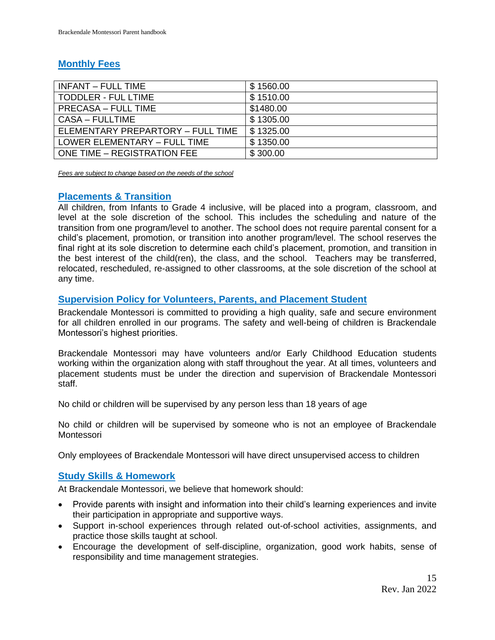# **Monthly Fees**

| INFANT - FULL TIME                | \$1560.00 |
|-----------------------------------|-----------|
| <b>TODDLER - FUL LTIME</b>        | \$1510.00 |
| <b>PRECASA - FULL TIME</b>        | \$1480.00 |
| <b>CASA - FULLTIME</b>            | \$1305.00 |
| ELEMENTARY PREPARTORY - FULL TIME | \$1325.00 |
| LOWER ELEMENTARY - FULL TIME      | \$1350.00 |
| ONE TIME - REGISTRATION FEE       | \$300.00  |

*Fees are subject to change based on the needs of the school* 

# **Placements & Transition**

All children, from Infants to Grade 4 inclusive, will be placed into a program, classroom, and level at the sole discretion of the school. This includes the scheduling and nature of the transition from one program/level to another. The school does not require parental consent for a child's placement, promotion, or transition into another program/level. The school reserves the final right at its sole discretion to determine each child's placement, promotion, and transition in the best interest of the child(ren), the class, and the school. Teachers may be transferred, relocated, rescheduled, re-assigned to other classrooms, at the sole discretion of the school at any time.

# <span id="page-14-0"></span>**Supervision Policy for Volunteers, Parents, and Placement Student**

Brackendale Montessori is committed to providing a high quality, safe and secure environment for all children enrolled in our programs. The safety and well-being of children is Brackendale Montessori's highest priorities.

Brackendale Montessori may have volunteers and/or Early Childhood Education students working within the organization along with staff throughout the year. At all times, volunteers and placement students must be under the direction and supervision of Brackendale Montessori staff.

No child or children will be supervised by any person less than 18 years of age

No child or children will be supervised by someone who is not an employee of Brackendale Montessori

<span id="page-14-1"></span>Only employees of Brackendale Montessori will have direct unsupervised access to children

# **Study Skills & Homework**

At Brackendale Montessori, we believe that homework should:

- Provide parents with insight and information into their child's learning experiences and invite their participation in appropriate and supportive ways.
- Support in-school experiences through related out-of-school activities, assignments, and practice those skills taught at school.
- Encourage the development of self-discipline, organization, good work habits, sense of responsibility and time management strategies.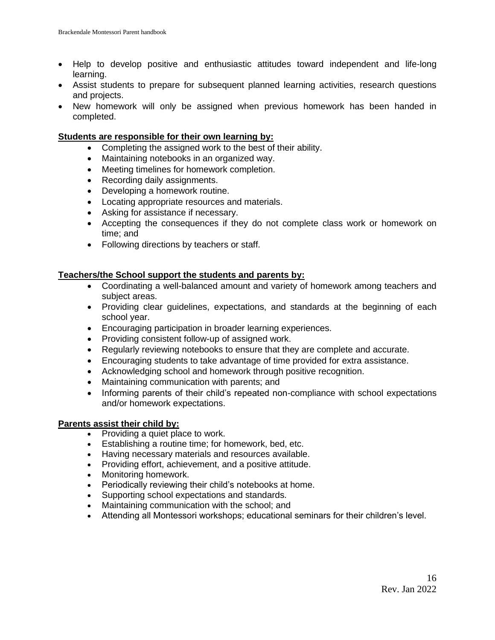- Help to develop positive and enthusiastic attitudes toward independent and life-long learning.
- Assist students to prepare for subsequent planned learning activities, research questions and projects.
- New homework will only be assigned when previous homework has been handed in completed.

#### **Students are responsible for their own learning by:**

- Completing the assigned work to the best of their ability.
- Maintaining notebooks in an organized way.
- Meeting timelines for homework completion.
- Recording daily assignments.
- Developing a homework routine.
- Locating appropriate resources and materials.
- Asking for assistance if necessary.
- Accepting the consequences if they do not complete class work or homework on time; and
- Following directions by teachers or staff.

#### **Teachers/the School support the students and parents by:**

- Coordinating a well-balanced amount and variety of homework among teachers and subject areas.
- Providing clear guidelines, expectations, and standards at the beginning of each school year.
- Encouraging participation in broader learning experiences.
- Providing consistent follow-up of assigned work.
- Regularly reviewing notebooks to ensure that they are complete and accurate.
- Encouraging students to take advantage of time provided for extra assistance.
- Acknowledging school and homework through positive recognition.
- Maintaining communication with parents; and
- Informing parents of their child's repeated non-compliance with school expectations and/or homework expectations.

## **Parents assist their child by:**

- Providing a quiet place to work.
- Establishing a routine time; for homework, bed, etc.
- Having necessary materials and resources available.
- Providing effort, achievement, and a positive attitude.
- Monitoring homework.
- Periodically reviewing their child's notebooks at home.
- Supporting school expectations and standards.
- Maintaining communication with the school; and
- Attending all Montessori workshops; educational seminars for their children's level.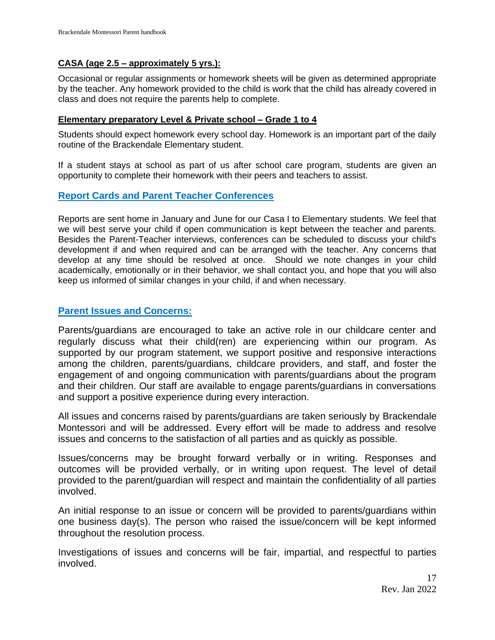# **CASA (age 2.5 – approximately 5 yrs.):**

Occasional or regular assignments or homework sheets will be given as determined appropriate by the teacher. Any homework provided to the child is work that the child has already covered in class and does not require the parents help to complete.

### **Elementary preparatory Level & Private school – Grade 1 to 4**

Students should expect homework every school day. Homework is an important part of the daily routine of the Brackendale Elementary student.

If a student stays at school as part of us after school care program, students are given an opportunity to complete their homework with their peers and teachers to assist.

# <span id="page-16-0"></span>**Report Cards and Parent Teacher Conferences**

Reports are sent home in January and June for our Casa I to Elementary students. We feel that we will best serve your child if open communication is kept between the teacher and parents. Besides the Parent-Teacher interviews, conferences can be scheduled to discuss your child's development if and when required and can be arranged with the teacher. Any concerns that develop at any time should be resolved at once. Should we note changes in your child academically, emotionally or in their behavior, we shall contact you, and hope that you will also keep us informed of similar changes in your child, if and when necessary.

## <span id="page-16-1"></span>**Parent Issues and Concerns:**

Parents/guardians are encouraged to take an active role in our childcare center and regularly discuss what their child(ren) are experiencing within our program. As supported by our program statement, we support positive and responsive interactions among the children, parents/guardians, childcare providers, and staff, and foster the engagement of and ongoing communication with parents/guardians about the program and their children. Our staff are available to engage parents/guardians in conversations and support a positive experience during every interaction.

All issues and concerns raised by parents/guardians are taken seriously by Brackendale Montessori and will be addressed. Every effort will be made to address and resolve issues and concerns to the satisfaction of all parties and as quickly as possible.

Issues/concerns may be brought forward verbally or in writing. Responses and outcomes will be provided verbally, or in writing upon request. The level of detail provided to the parent/guardian will respect and maintain the confidentiality of all parties involved.

An initial response to an issue or concern will be provided to parents/guardians within one business day(s). The person who raised the issue/concern will be kept informed throughout the resolution process.

Investigations of issues and concerns will be fair, impartial, and respectful to parties involved.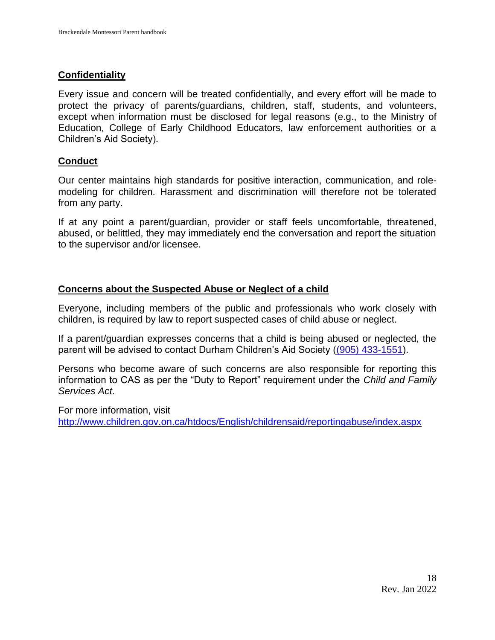# **Confidentiality**

Every issue and concern will be treated confidentially, and every effort will be made to protect the privacy of parents/guardians, children, staff, students, and volunteers, except when information must be disclosed for legal reasons (e.g., to the Ministry of Education, College of Early Childhood Educators, law enforcement authorities or a Children's Aid Society).

# **Conduct**

Our center maintains high standards for positive interaction, communication, and rolemodeling for children. Harassment and discrimination will therefore not be tolerated from any party.

If at any point a parent/guardian, provider or staff feels uncomfortable, threatened, abused, or belittled, they may immediately end the conversation and report the situation to the supervisor and/or licensee.

# **Concerns about the Suspected Abuse or Neglect of a child**

Everyone, including members of the public and professionals who work closely with children, is required by law to report suspected cases of child abuse or neglect.

If a parent/guardian expresses concerns that a child is being abused or neglected, the parent will be advised to contact Durham Children's Aid Society [\(\(905\) 433-1551\)](javascript:void(0)).

Persons who become aware of such concerns are also responsible for reporting this information to CAS as per the "Duty to Report" requirement under the *Child and Family Services Act*.

For more information, visit <http://www.children.gov.on.ca/htdocs/English/childrensaid/reportingabuse/index.aspx>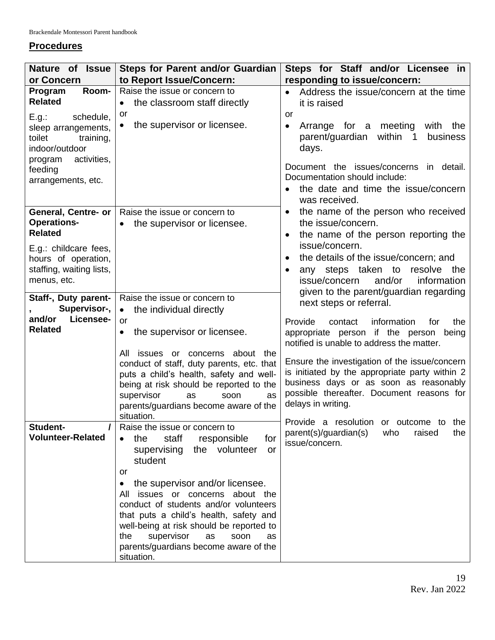# **Procedures**

| Nature of Issue                                                                                                                               | <b>Steps for Parent and/or Guardian</b>                                            | Steps for Staff and/or Licensee in                                                                                                                                                                                                                     |
|-----------------------------------------------------------------------------------------------------------------------------------------------|------------------------------------------------------------------------------------|--------------------------------------------------------------------------------------------------------------------------------------------------------------------------------------------------------------------------------------------------------|
| or Concern                                                                                                                                    | to Report Issue/Concern:                                                           | responding to issue/concern:                                                                                                                                                                                                                           |
| Room-<br>Program                                                                                                                              | Raise the issue or concern to                                                      | Address the issue/concern at the time                                                                                                                                                                                                                  |
| <b>Related</b>                                                                                                                                | the classroom staff directly<br>$\bullet$                                          | it is raised                                                                                                                                                                                                                                           |
| schedule,<br>E.g.:<br>sleep arrangements,<br>toilet<br>training,<br>indoor/outdoor<br>activities,<br>program<br>feeding<br>arrangements, etc. | or<br>the supervisor or licensee.<br>$\bullet$                                     | <b>or</b><br>meeting<br>with the<br>Arrange for a<br>$\bullet$<br>parent/guardian<br>within 1<br>business<br>days.<br>Document the issues/concerns in detail.<br>Documentation should include:<br>the date and time the issue/concern<br>was received. |
| General, Centre- or                                                                                                                           | Raise the issue or concern to                                                      | the name of the person who received                                                                                                                                                                                                                    |
| <b>Operations-</b>                                                                                                                            | the supervisor or licensee.<br>$\bullet$                                           | the issue/concern.                                                                                                                                                                                                                                     |
| <b>Related</b>                                                                                                                                |                                                                                    | the name of the person reporting the                                                                                                                                                                                                                   |
| E.g.: childcare fees,                                                                                                                         |                                                                                    | issue/concern.                                                                                                                                                                                                                                         |
| hours of operation,                                                                                                                           |                                                                                    | the details of the issue/concern; and<br>$\bullet$                                                                                                                                                                                                     |
| staffing, waiting lists,<br>menus, etc.                                                                                                       |                                                                                    | any steps taken to resolve the<br>issue/concern<br>and/or<br>information                                                                                                                                                                               |
|                                                                                                                                               |                                                                                    | given to the parent/guardian regarding                                                                                                                                                                                                                 |
| Staff-, Duty parent-                                                                                                                          | Raise the issue or concern to                                                      | next steps or referral.                                                                                                                                                                                                                                |
| Supervisor-,                                                                                                                                  | the individual directly<br>$\bullet$                                               |                                                                                                                                                                                                                                                        |
| Licensee-<br>and/or                                                                                                                           | <b>or</b>                                                                          | Provide<br>information<br>contact<br>for<br>the                                                                                                                                                                                                        |
| <b>Related</b>                                                                                                                                | the supervisor or licensee.<br>$\bullet$                                           | appropriate person if the person being<br>notified is unable to address the matter.                                                                                                                                                                    |
|                                                                                                                                               | about the<br>All<br>issues or concerns                                             |                                                                                                                                                                                                                                                        |
|                                                                                                                                               | conduct of staff, duty parents, etc. that                                          | Ensure the investigation of the issue/concern<br>is initiated by the appropriate party within 2                                                                                                                                                        |
|                                                                                                                                               | puts a child's health, safety and well-<br>being at risk should be reported to the | business days or as soon as reasonably                                                                                                                                                                                                                 |
|                                                                                                                                               | supervisor<br>as<br>soon<br><b>as</b>                                              | possible thereafter. Document reasons for                                                                                                                                                                                                              |
|                                                                                                                                               | parents/guardians become aware of the                                              | delays in writing.                                                                                                                                                                                                                                     |
|                                                                                                                                               | situation.                                                                         |                                                                                                                                                                                                                                                        |
| Student-                                                                                                                                      | Raise the issue or concern to                                                      | Provide a resolution or outcome to the<br>parent(s)/guardian(s)<br>who<br>raised<br>the                                                                                                                                                                |
| <b>Volunteer-Related</b>                                                                                                                      | the<br>staff<br>responsible<br>for<br>$\bullet$                                    | issue/concern.                                                                                                                                                                                                                                         |
|                                                                                                                                               | supervising<br>the volunteer<br>or                                                 |                                                                                                                                                                                                                                                        |
|                                                                                                                                               | student                                                                            |                                                                                                                                                                                                                                                        |
|                                                                                                                                               | or<br>the supervisor and/or licensee.                                              |                                                                                                                                                                                                                                                        |
|                                                                                                                                               | $\bullet$<br>issues or concerns about the<br>All                                   |                                                                                                                                                                                                                                                        |
|                                                                                                                                               | conduct of students and/or volunteers                                              |                                                                                                                                                                                                                                                        |
|                                                                                                                                               | that puts a child's health, safety and                                             |                                                                                                                                                                                                                                                        |
|                                                                                                                                               | well-being at risk should be reported to                                           |                                                                                                                                                                                                                                                        |
|                                                                                                                                               | supervisor<br>the<br>as<br>soon<br>as                                              |                                                                                                                                                                                                                                                        |
|                                                                                                                                               | parents/guardians become aware of the                                              |                                                                                                                                                                                                                                                        |
|                                                                                                                                               | situation.                                                                         |                                                                                                                                                                                                                                                        |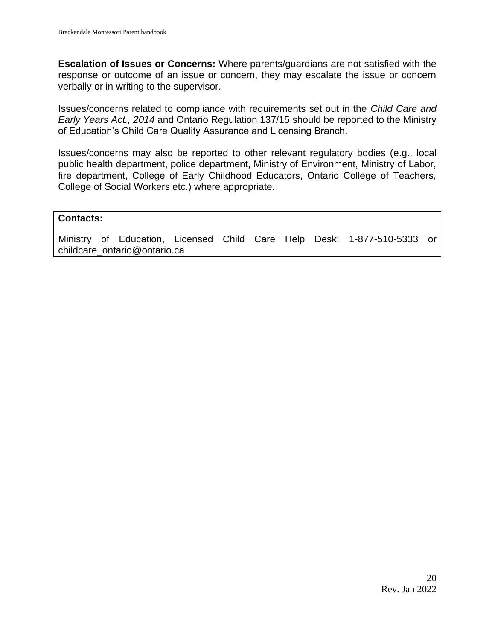**Escalation of Issues or Concerns:** Where parents/guardians are not satisfied with the response or outcome of an issue or concern, they may escalate the issue or concern verbally or in writing to the supervisor.

Issues/concerns related to compliance with requirements set out in the *Child Care and Early Years Act., 2014* and Ontario Regulation 137/15 should be reported to the Ministry of Education's Child Care Quality Assurance and Licensing Branch.

Issues/concerns may also be reported to other relevant regulatory bodies (e.g., local public health department, police department, Ministry of Environment, Ministry of Labor, fire department, College of Early Childhood Educators, Ontario College of Teachers, College of Social Workers etc.) where appropriate.

#### **Contacts:**

Ministry of Education, Licensed Child Care Help Desk: 1-877-510-5333 or childcare\_ontario@ontario.ca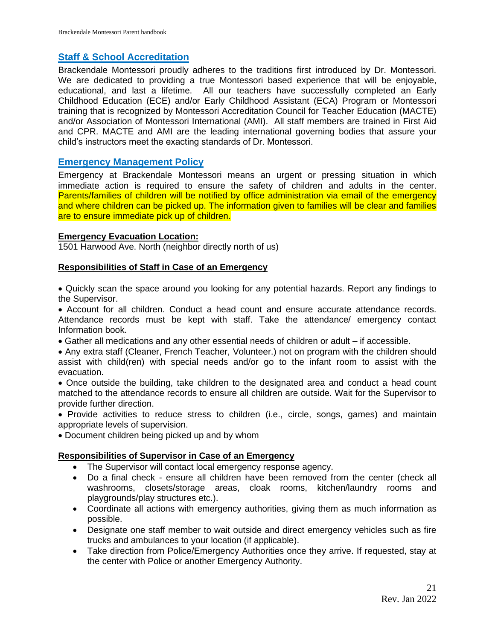# <span id="page-20-0"></span>**Staff & School Accreditation**

Brackendale Montessori proudly adheres to the traditions first introduced by Dr. Montessori. We are dedicated to providing a true Montessori based experience that will be enjoyable, educational, and last a lifetime. All our teachers have successfully completed an Early Childhood Education (ECE) and/or Early Childhood Assistant (ECA) Program or Montessori training that is recognized by Montessori Accreditation Council for Teacher Education (MACTE) and/or Association of Montessori International (AMI). All staff members are trained in First Aid and CPR. MACTE and AMI are the leading international governing bodies that assure your child's instructors meet the exacting standards of Dr. Montessori.

# <span id="page-20-1"></span>**Emergency Management Policy**

Emergency at Brackendale Montessori means an urgent or pressing situation in which immediate action is required to ensure the safety of children and adults in the center. Parents/families of children will be notified by office administration via email of the emergency and where children can be picked up. The information given to families will be clear and families are to ensure immediate pick up of children.

# **Emergency Evacuation Location:**

1501 Harwood Ave. North (neighbor directly north of us)

# **Responsibilities of Staff in Case of an Emergency**

• Quickly scan the space around you looking for any potential hazards. Report any findings to the Supervisor.

• Account for all children. Conduct a head count and ensure accurate attendance records. Attendance records must be kept with staff. Take the attendance/ emergency contact Information book.

- Gather all medications and any other essential needs of children or adult if accessible.
- Any extra staff (Cleaner, French Teacher, Volunteer.) not on program with the children should assist with child(ren) with special needs and/or go to the infant room to assist with the evacuation.

• Once outside the building, take children to the designated area and conduct a head count matched to the attendance records to ensure all children are outside. Wait for the Supervisor to provide further direction.

• Provide activities to reduce stress to children (i.e., circle, songs, games) and maintain appropriate levels of supervision.

• Document children being picked up and by whom

# **Responsibilities of Supervisor in Case of an Emergency**

- The Supervisor will contact local emergency response agency.
- Do a final check ensure all children have been removed from the center (check all washrooms, closets/storage areas, cloak rooms, kitchen/laundry rooms and playgrounds/play structures etc.).
- Coordinate all actions with emergency authorities, giving them as much information as possible.
- Designate one staff member to wait outside and direct emergency vehicles such as fire trucks and ambulances to your location (if applicable).
- Take direction from Police/Emergency Authorities once they arrive. If requested, stay at the center with Police or another Emergency Authority.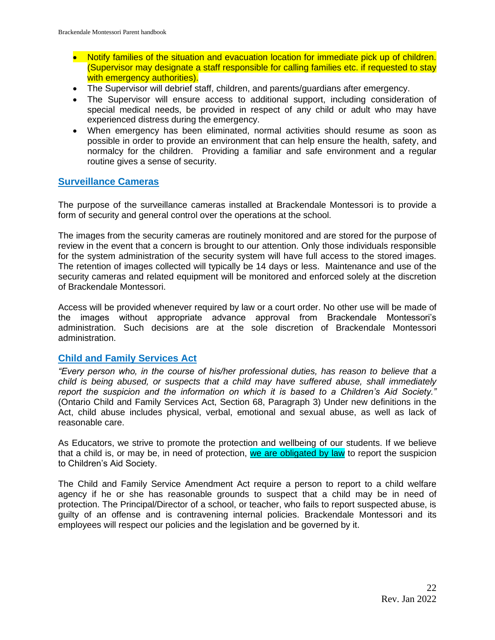- Notify families of the situation and evacuation location for immediate pick up of children. (Supervisor may designate a staff responsible for calling families etc. if requested to stay with emergency authorities).
- The Supervisor will debrief staff, children, and parents/guardians after emergency.
- The Supervisor will ensure access to additional support, including consideration of special medical needs, be provided in respect of any child or adult who may have experienced distress during the emergency.
- When emergency has been eliminated, normal activities should resume as soon as possible in order to provide an environment that can help ensure the health, safety, and normalcy for the children. Providing a familiar and safe environment and a regular routine gives a sense of security.

# <span id="page-21-0"></span>**Surveillance Cameras**

The purpose of the surveillance cameras installed at Brackendale Montessori is to provide a form of security and general control over the operations at the school.

The images from the security cameras are routinely monitored and are stored for the purpose of review in the event that a concern is brought to our attention. Only those individuals responsible for the system administration of the security system will have full access to the stored images. The retention of images collected will typically be 14 days or less. Maintenance and use of the security cameras and related equipment will be monitored and enforced solely at the discretion of Brackendale Montessori.

Access will be provided whenever required by law or a court order. No other use will be made of the images without appropriate advance approval from Brackendale Montessori's administration. Such decisions are at the sole discretion of Brackendale Montessori administration.

# <span id="page-21-1"></span>**Child and Family Services Act**

*"Every person who, in the course of his/her professional duties, has reason to believe that a child is being abused, or suspects that a child may have suffered abuse, shall immediately report the suspicion and the information on which it is based to a Children's Aid Society."* (Ontario Child and Family Services Act, Section 68, Paragraph 3) Under new definitions in the Act, child abuse includes physical, verbal, emotional and sexual abuse, as well as lack of reasonable care.

As Educators, we strive to promote the protection and wellbeing of our students. If we believe that a child is, or may be, in need of protection, we are obligated by law to report the suspicion to Children's Aid Society.

The Child and Family Service Amendment Act require a person to report to a child welfare agency if he or she has reasonable grounds to suspect that a child may be in need of protection. The Principal/Director of a school, or teacher, who fails to report suspected abuse, is guilty of an offense and is contravening internal policies. Brackendale Montessori and its employees will respect our policies and the legislation and be governed by it.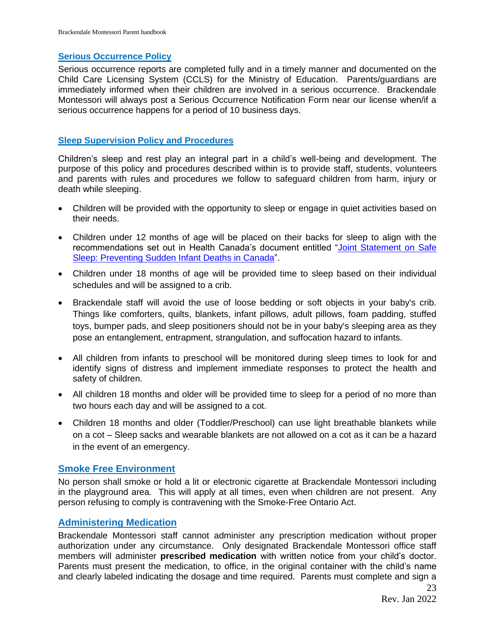# <span id="page-22-0"></span>**Serious Occurrence Policy**

Serious occurrence reports are completed fully and in a timely manner and documented on the Child Care Licensing System (CCLS) for the Ministry of Education. Parents/guardians are immediately informed when their children are involved in a serious occurrence. Brackendale Montessori will always post a Serious Occurrence Notification Form near our license when/if a serious occurrence happens for a period of 10 business days.

# <span id="page-22-1"></span>**Sleep Supervision Policy and Procedures**

Children's sleep and rest play an integral part in a child's well-being and development. The purpose of this policy and procedures described within is to provide staff, students, volunteers and parents with rules and procedures we follow to safeguard children from harm, injury or death while sleeping.

- Children will be provided with the opportunity to sleep or engage in quiet activities based on their needs.
- Children under 12 months of age will be placed on their backs for sleep to align with the recommendations set out in Health Canada's document entitled ["Joint Statement on Safe](https://www.canada.ca/en/public-health/services/health-promotion/childhood-adolescence/stages-childhood/infancy-birth-two-years/safe-sleep/joint-statement-on-safe-sleep.html)  [Sleep: Preventing Sudden Infant Deaths in Canada"](https://www.canada.ca/en/public-health/services/health-promotion/childhood-adolescence/stages-childhood/infancy-birth-two-years/safe-sleep/joint-statement-on-safe-sleep.html).
- Children under 18 months of age will be provided time to sleep based on their individual schedules and will be assigned to a crib.
- Brackendale staff will avoid the use of loose bedding or soft objects in your baby's crib. Things like comforters, quilts, blankets, infant pillows, adult pillows, foam padding, stuffed toys, bumper pads, and sleep positioners should not be in your baby's sleeping area as they pose an entanglement, entrapment, strangulation, and suffocation hazard to infants.
- All children from infants to preschool will be monitored during sleep times to look for and identify signs of distress and implement immediate responses to protect the health and safety of children.
- All children 18 months and older will be provided time to sleep for a period of no more than two hours each day and will be assigned to a cot.
- Children 18 months and older (Toddler/Preschool) can use light breathable blankets while on a cot – Sleep sacks and wearable blankets are not allowed on a cot as it can be a hazard in the event of an emergency.

# <span id="page-22-2"></span>**Smoke Free Environment**

No person shall smoke or hold a lit or electronic cigarette at Brackendale Montessori including in the playground area. This will apply at all times, even when children are not present. Any person refusing to comply is contravening with the Smoke-Free Ontario Act.

# <span id="page-22-3"></span>**Administering Medication**

Brackendale Montessori staff cannot administer any prescription medication without proper authorization under any circumstance. Only designated Brackendale Montessori office staff members will administer **prescribed medication** with written notice from your child's doctor. Parents must present the medication, to office, in the original container with the child's name and clearly labeled indicating the dosage and time required. Parents must complete and sign a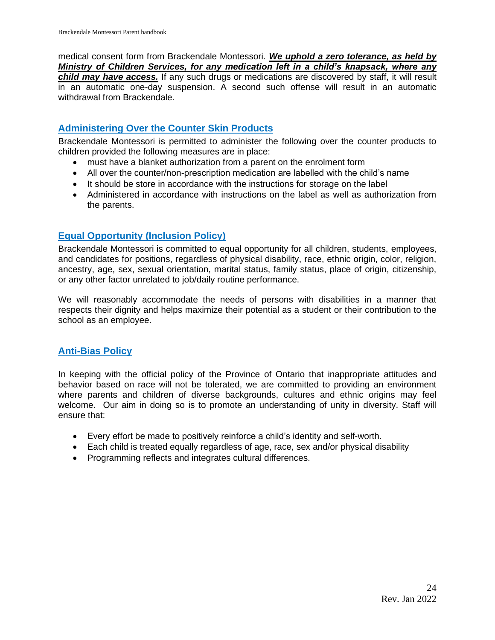medical consent form from Brackendale Montessori. *We uphold a zero tolerance, as held by Ministry of Children Services, for any medication left in a child's knapsack, where any child may have access.* If any such drugs or medications are discovered by staff, it will result in an automatic one-day suspension. A second such offense will result in an automatic withdrawal from Brackendale.

# <span id="page-23-0"></span>**Administering Over the Counter Skin Products**

Brackendale Montessori is permitted to administer the following over the counter products to children provided the following measures are in place:

- must have a blanket authorization from a parent on the enrolment form
- All over the counter/non-prescription medication are labelled with the child's name
- It should be store in accordance with the instructions for storage on the label
- Administered in accordance with instructions on the label as well as authorization from the parents.

# <span id="page-23-1"></span>**Equal Opportunity (Inclusion Policy)**

Brackendale Montessori is committed to equal opportunity for all children, students, employees, and candidates for positions, regardless of physical disability, race, ethnic origin, color, religion, ancestry, age, sex, sexual orientation, marital status, family status, place of origin, citizenship, or any other factor unrelated to job/daily routine performance.

We will reasonably accommodate the needs of persons with disabilities in a manner that respects their dignity and helps maximize their potential as a student or their contribution to the school as an employee.

# <span id="page-23-2"></span>**Anti-Bias Policy**

In keeping with the official policy of the Province of Ontario that inappropriate attitudes and behavior based on race will not be tolerated, we are committed to providing an environment where parents and children of diverse backgrounds, cultures and ethnic origins may feel welcome. Our aim in doing so is to promote an understanding of unity in diversity. Staff will ensure that:

- Every effort be made to positively reinforce a child's identity and self-worth.
- Each child is treated equally regardless of age, race, sex and/or physical disability
- Programming reflects and integrates cultural differences.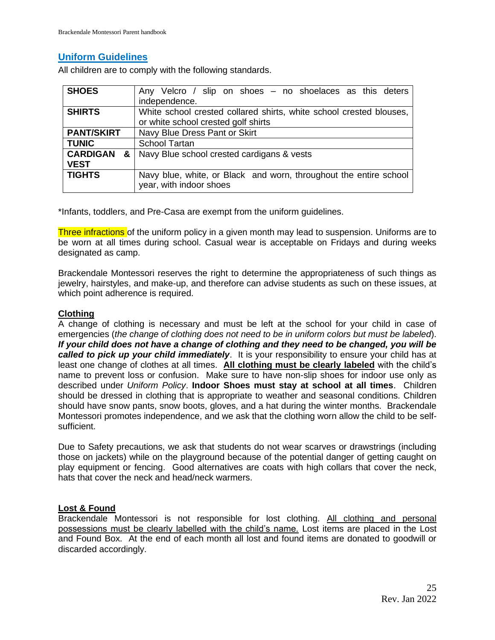# <span id="page-24-0"></span>**Uniform Guidelines**

All children are to comply with the following standards.

| <b>SHOES</b>                          | Any Velcro / slip on shoes - no shoelaces as this deters<br>independence.                                  |
|---------------------------------------|------------------------------------------------------------------------------------------------------------|
| <b>SHIRTS</b>                         | White school crested collared shirts, white school crested blouses,<br>or white school crested golf shirts |
| <b>PANT/SKIRT</b>                     | Navy Blue Dress Pant or Skirt                                                                              |
| <b>TUNIC</b>                          | <b>School Tartan</b>                                                                                       |
| <b>CARDIGAN</b><br>& I<br><b>VEST</b> | Navy Blue school crested cardigans & vests                                                                 |
| <b>TIGHTS</b>                         | Navy blue, white, or Black and worn, throughout the entire school<br>year, with indoor shoes               |

\*Infants, toddlers, and Pre-Casa are exempt from the uniform guidelines.

Three infractions of the uniform policy in a given month may lead to suspension. Uniforms are to be worn at all times during school. Casual wear is acceptable on Fridays and during weeks designated as camp.

Brackendale Montessori reserves the right to determine the appropriateness of such things as jewelry, hairstyles, and make-up, and therefore can advise students as such on these issues, at which point adherence is required.

## **Clothing**

A change of clothing is necessary and must be left at the school for your child in case of emergencies (*the change of clothing does not need to be in uniform colors but must be labeled*). *If your child does not have a change of clothing and they need to be changed, you will be called to pick up your child immediately*. It is your responsibility to ensure your child has at least one change of clothes at all times. **All clothing must be clearly labeled** with the child's name to prevent loss or confusion. Make sure to have non-slip shoes for indoor use only as described under *Uniform Policy*. **Indoor Shoes must stay at school at all times**. Children should be dressed in clothing that is appropriate to weather and seasonal conditions. Children should have snow pants, snow boots, gloves, and a hat during the winter months. Brackendale Montessori promotes independence, and we ask that the clothing worn allow the child to be selfsufficient.

Due to Safety precautions, we ask that students do not wear scarves or drawstrings (including those on jackets) while on the playground because of the potential danger of getting caught on play equipment or fencing. Good alternatives are coats with high collars that cover the neck, hats that cover the neck and head/neck warmers.

## **Lost & Found**

Brackendale Montessori is not responsible for lost clothing. All clothing and personal possessions must be clearly labelled with the child's name. Lost items are placed in the Lost and Found Box. At the end of each month all lost and found items are donated to goodwill or discarded accordingly.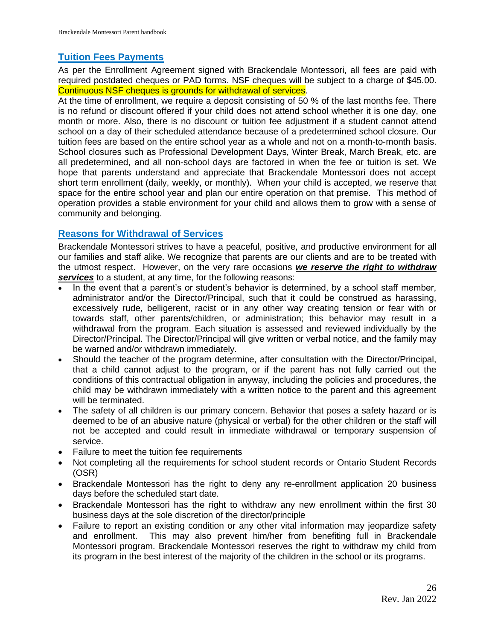# <span id="page-25-0"></span>**Tuition Fees Payments**

As per the Enrollment Agreement signed with Brackendale Montessori, all fees are paid with required postdated cheques or PAD forms. NSF cheques will be subject to a charge of \$45.00. Continuous NSF cheques is grounds for withdrawal of services.

At the time of enrollment, we require a deposit consisting of 50 % of the last months fee. There is no refund or discount offered if your child does not attend school whether it is one day, one month or more. Also, there is no discount or tuition fee adjustment if a student cannot attend school on a day of their scheduled attendance because of a predetermined school closure. Our tuition fees are based on the entire school year as a whole and not on a month-to-month basis. School closures such as Professional Development Days, Winter Break, March Break, etc. are all predetermined, and all non-school days are factored in when the fee or tuition is set. We hope that parents understand and appreciate that Brackendale Montessori does not accept short term enrollment (daily, weekly, or monthly). When your child is accepted, we reserve that space for the entire school year and plan our entire operation on that premise. This method of operation provides a stable environment for your child and allows them to grow with a sense of community and belonging.

# <span id="page-25-1"></span>**Reasons for Withdrawal of Services**

Brackendale Montessori strives to have a peaceful, positive, and productive environment for all our families and staff alike. We recognize that parents are our clients and are to be treated with the utmost respect. However, on the very rare occasions *we reserve the right to withdraw services* to a student, at any time, for the following reasons:

- In the event that a parent's or student's behavior is determined, by a school staff member, administrator and/or the Director/Principal, such that it could be construed as harassing, excessively rude, belligerent, racist or in any other way creating tension or fear with or towards staff, other parents/children, or administration; this behavior may result in a withdrawal from the program. Each situation is assessed and reviewed individually by the Director/Principal. The Director/Principal will give written or verbal notice, and the family may be warned and/or withdrawn immediately.
- Should the teacher of the program determine, after consultation with the Director/Principal, that a child cannot adjust to the program, or if the parent has not fully carried out the conditions of this contractual obligation in anyway, including the policies and procedures, the child may be withdrawn immediately with a written notice to the parent and this agreement will be terminated.
- The safety of all children is our primary concern. Behavior that poses a safety hazard or is deemed to be of an abusive nature (physical or verbal) for the other children or the staff will not be accepted and could result in immediate withdrawal or temporary suspension of service.
- Failure to meet the tuition fee requirements
- Not completing all the requirements for school student records or Ontario Student Records (OSR)
- Brackendale Montessori has the right to deny any re-enrollment application 20 business days before the scheduled start date.
- Brackendale Montessori has the right to withdraw any new enrollment within the first 30 business days at the sole discretion of the director/principle
- Failure to report an existing condition or any other vital information may jeopardize safety and enrollment. This may also prevent him/her from benefiting full in Brackendale Montessori program. Brackendale Montessori reserves the right to withdraw my child from its program in the best interest of the majority of the children in the school or its programs.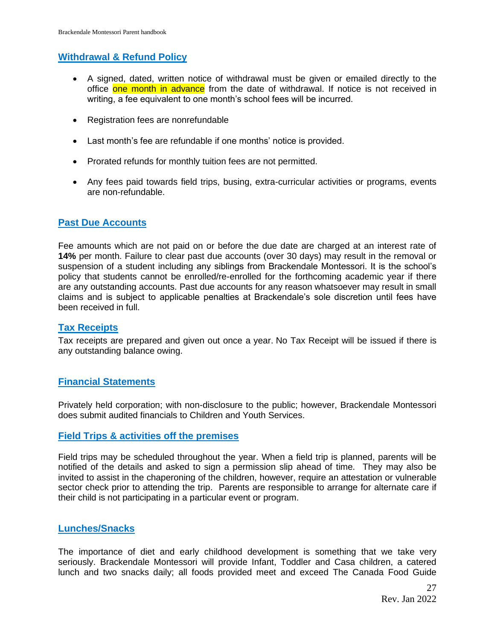# **Withdrawal & Refund Policy**

- A signed, dated, written notice of withdrawal must be given or emailed directly to the office one month in advance from the date of withdrawal. If notice is not received in writing, a fee equivalent to one month's school fees will be incurred.
- Registration fees are nonrefundable
- Last month's fee are refundable if one months' notice is provided.
- Prorated refunds for monthly tuition fees are not permitted.
- Any fees paid towards field trips, busing, extra-curricular activities or programs, events are non-refundable.

# <span id="page-26-0"></span>**Past Due Accounts**

Fee amounts which are not paid on or before the due date are charged at an interest rate of **14%** per month. Failure to clear past due accounts (over 30 days) may result in the removal or suspension of a student including any siblings from Brackendale Montessori. It is the school's policy that students cannot be enrolled/re-enrolled for the forthcoming academic year if there are any outstanding accounts. Past due accounts for any reason whatsoever may result in small claims and is subject to applicable penalties at Brackendale's sole discretion until fees have been received in full.

## <span id="page-26-1"></span>**Tax Receipts**

Tax receipts are prepared and given out once a year. No Tax Receipt will be issued if there is any outstanding balance owing.

## <span id="page-26-2"></span>**Financial Statements**

Privately held corporation; with non-disclosure to the public; however, Brackendale Montessori does submit audited financials to Children and Youth Services.

## **Field Trips & activities off the premises**

Field trips may be scheduled throughout the year. When a field trip is planned, parents will be notified of the details and asked to sign a permission slip ahead of time. They may also be invited to assist in the chaperoning of the children, however, require an attestation or vulnerable sector check prior to attending the trip. Parents are responsible to arrange for alternate care if their child is not participating in a particular event or program.

## <span id="page-26-3"></span>**Lunches/Snacks**

The importance of diet and early childhood development is something that we take very seriously. Brackendale Montessori will provide Infant, Toddler and Casa children, a catered lunch and two snacks daily; all foods provided meet and exceed The Canada Food Guide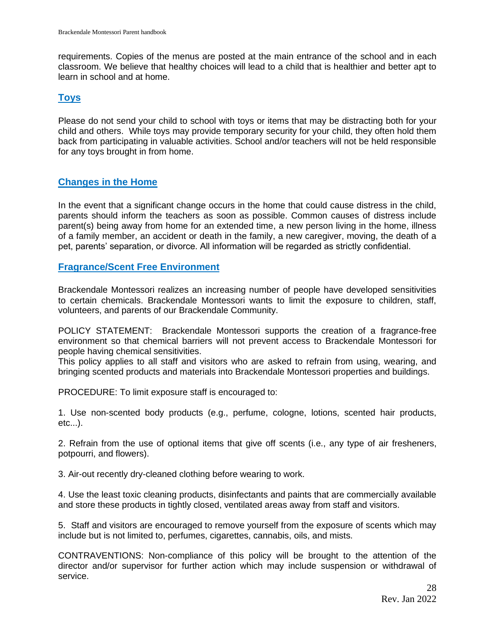requirements. Copies of the menus are posted at the main entrance of the school and in each classroom. We believe that healthy choices will lead to a child that is healthier and better apt to learn in school and at home.

# <span id="page-27-0"></span>**Toys**

Please do not send your child to school with toys or items that may be distracting both for your child and others. While toys may provide temporary security for your child, they often hold them back from participating in valuable activities. School and/or teachers will not be held responsible for any toys brought in from home.

# <span id="page-27-1"></span>**Changes in the Home**

In the event that a significant change occurs in the home that could cause distress in the child, parents should inform the teachers as soon as possible. Common causes of distress include parent(s) being away from home for an extended time, a new person living in the home, illness of a family member, an accident or death in the family, a new caregiver, moving, the death of a pet, parents' separation, or divorce. All information will be regarded as strictly confidential.

# <span id="page-27-2"></span>**Fragrance/Scent Free Environment**

Brackendale Montessori realizes an increasing number of people have developed sensitivities to certain chemicals. Brackendale Montessori wants to limit the exposure to children, staff, volunteers, and parents of our Brackendale Community.

POLICY STATEMENT: Brackendale Montessori supports the creation of a fragrance-free environment so that chemical barriers will not prevent access to Brackendale Montessori for people having chemical sensitivities.

This policy applies to all staff and visitors who are asked to refrain from using, wearing, and bringing scented products and materials into Brackendale Montessori properties and buildings.

PROCEDURE: To limit exposure staff is encouraged to:

1. Use non-scented body products (e.g., perfume, cologne, lotions, scented hair products, etc...).

2. Refrain from the use of optional items that give off scents (i.e., any type of air fresheners, potpourri, and flowers).

3. Air-out recently dry-cleaned clothing before wearing to work.

4. Use the least toxic cleaning products, disinfectants and paints that are commercially available and store these products in tightly closed, ventilated areas away from staff and visitors.

5. Staff and visitors are encouraged to remove yourself from the exposure of scents which may include but is not limited to, perfumes, cigarettes, cannabis, oils, and mists.

CONTRAVENTIONS: Non-compliance of this policy will be brought to the attention of the director and/or supervisor for further action which may include suspension or withdrawal of service.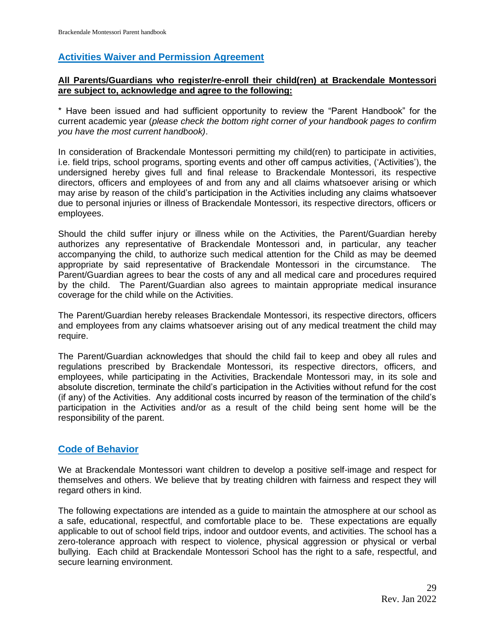# <span id="page-28-0"></span>**Activities Waiver and Permission Agreement**

# **All Parents/Guardians who register/re-enroll their child(ren) at Brackendale Montessori are subject to, acknowledge and agree to the following:**

\* Have been issued and had sufficient opportunity to review the "Parent Handbook" for the current academic year (*please check the bottom right corner of your handbook pages to confirm you have the most current handbook)*.

In consideration of Brackendale Montessori permitting my child(ren) to participate in activities, i.e. field trips, school programs, sporting events and other off campus activities, ('Activities'), the undersigned hereby gives full and final release to Brackendale Montessori, its respective directors, officers and employees of and from any and all claims whatsoever arising or which may arise by reason of the child's participation in the Activities including any claims whatsoever due to personal injuries or illness of Brackendale Montessori, its respective directors, officers or employees.

Should the child suffer injury or illness while on the Activities, the Parent/Guardian hereby authorizes any representative of Brackendale Montessori and, in particular, any teacher accompanying the child, to authorize such medical attention for the Child as may be deemed appropriate by said representative of Brackendale Montessori in the circumstance. The Parent/Guardian agrees to bear the costs of any and all medical care and procedures required by the child. The Parent/Guardian also agrees to maintain appropriate medical insurance coverage for the child while on the Activities.

The Parent/Guardian hereby releases Brackendale Montessori, its respective directors, officers and employees from any claims whatsoever arising out of any medical treatment the child may require.

The Parent/Guardian acknowledges that should the child fail to keep and obey all rules and regulations prescribed by Brackendale Montessori, its respective directors, officers, and employees, while participating in the Activities, Brackendale Montessori may, in its sole and absolute discretion, terminate the child's participation in the Activities without refund for the cost (if any) of the Activities. Any additional costs incurred by reason of the termination of the child's participation in the Activities and/or as a result of the child being sent home will be the responsibility of the parent.

# **Code of Behavior**

We at Brackendale Montessori want children to develop a positive self-image and respect for themselves and others. We believe that by treating children with fairness and respect they will regard others in kind.

The following expectations are intended as a guide to maintain the atmosphere at our school as a safe, educational, respectful, and comfortable place to be. These expectations are equally applicable to out of school field trips, indoor and outdoor events, and activities. The school has a zero-tolerance approach with respect to violence, physical aggression or physical or verbal bullying. Each child at Brackendale Montessori School has the right to a safe, respectful, and secure learning environment.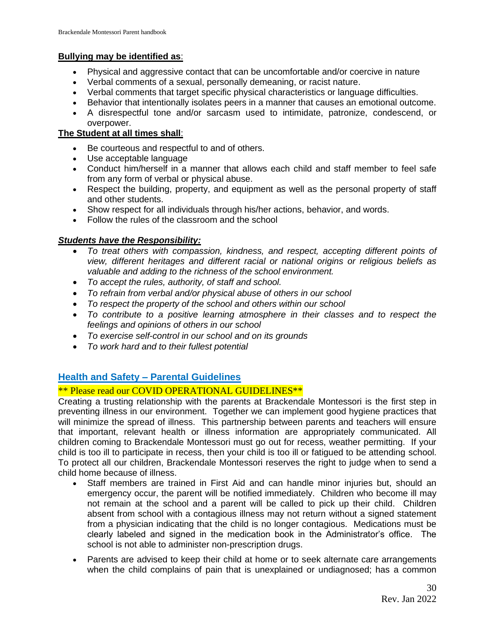# **Bullying may be identified as**:

- Physical and aggressive contact that can be uncomfortable and/or coercive in nature
- Verbal comments of a sexual, personally demeaning, or racist nature.
- Verbal comments that target specific physical characteristics or language difficulties.
- Behavior that intentionally isolates peers in a manner that causes an emotional outcome.
- A disrespectful tone and/or sarcasm used to intimidate, patronize, condescend, or overpower.

# **The Student at all times shall**:

- Be courteous and respectful to and of others.
- Use acceptable language
- Conduct him/herself in a manner that allows each child and staff member to feel safe from any form of verbal or physical abuse.
- Respect the building, property, and equipment as well as the personal property of staff and other students.
- Show respect for all individuals through his/her actions, behavior, and words.
- Follow the rules of the classroom and the school

# *Students have the Responsibility:*

- *To treat others with compassion, kindness, and respect, accepting different points of view, different heritages and different racial or national origins or religious beliefs as valuable and adding to the richness of the school environment.*
- *To accept the rules, authority, of staff and school.*
- *To refrain from verbal and/or physical abuse of others in our school*
- *To respect the property of the school and others within our school*
- *To contribute to a positive learning atmosphere in their classes and to respect the feelings and opinions of others in our school*
- *To exercise self-control in our school and on its grounds*
- *To work hard and to their fullest potential*

# <span id="page-29-0"></span>**Health and Safety – Parental Guidelines**

# \*\* Please read our COVID OPERATIONAL GUIDELINES\*\*

Creating a trusting relationship with the parents at Brackendale Montessori is the first step in preventing illness in our environment. Together we can implement good hygiene practices that will minimize the spread of illness. This partnership between parents and teachers will ensure that important, relevant health or illness information are appropriately communicated. All children coming to Brackendale Montessori must go out for recess, weather permitting. If your child is too ill to participate in recess, then your child is too ill or fatigued to be attending school. To protect all our children, Brackendale Montessori reserves the right to judge when to send a child home because of illness.

- Staff members are trained in First Aid and can handle minor injuries but, should an emergency occur, the parent will be notified immediately. Children who become ill may not remain at the school and a parent will be called to pick up their child. Children absent from school with a contagious illness may not return without a signed statement from a physician indicating that the child is no longer contagious. Medications must be clearly labeled and signed in the medication book in the Administrator's office. The school is not able to administer non-prescription drugs.
- Parents are advised to keep their child at home or to seek alternate care arrangements when the child complains of pain that is unexplained or undiagnosed; has a common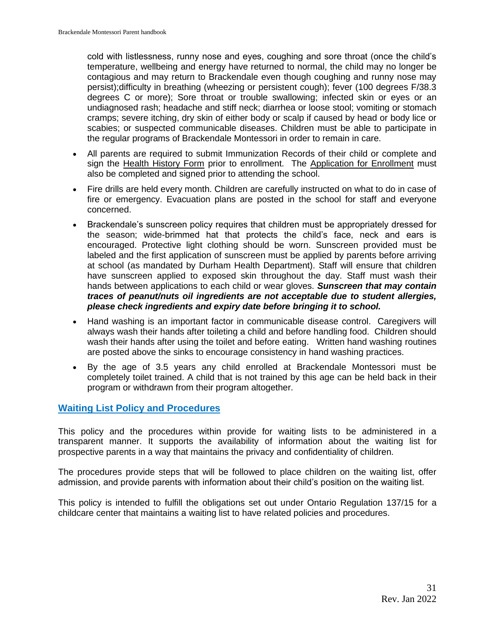cold with listlessness, runny nose and eyes, coughing and sore throat (once the child's temperature, wellbeing and energy have returned to normal, the child may no longer be contagious and may return to Brackendale even though coughing and runny nose may persist);difficulty in breathing (wheezing or persistent cough); fever (100 degrees F/38.3 degrees C or more); Sore throat or trouble swallowing; infected skin or eyes or an undiagnosed rash; headache and stiff neck; diarrhea or loose stool; vomiting or stomach cramps; severe itching, dry skin of either body or scalp if caused by head or body lice or scabies; or suspected communicable diseases. Children must be able to participate in the regular programs of Brackendale Montessori in order to remain in care.

- All parents are required to submit Immunization Records of their child or complete and sign the Health History Form prior to enrollment. The Application for Enrollment must also be completed and signed prior to attending the school.
- Fire drills are held every month. Children are carefully instructed on what to do in case of fire or emergency. Evacuation plans are posted in the school for staff and everyone concerned.
- Brackendale's sunscreen policy requires that children must be appropriately dressed for the season; wide-brimmed hat that protects the child's face, neck and ears is encouraged. Protective light clothing should be worn. Sunscreen provided must be labeled and the first application of sunscreen must be applied by parents before arriving at school (as mandated by Durham Health Department). Staff will ensure that children have sunscreen applied to exposed skin throughout the day. Staff must wash their hands between applications to each child or wear gloves. *Sunscreen that may contain traces of peanut/nuts oil ingredients are not acceptable due to student allergies, please check ingredients and expiry date before bringing it to school.*
- Hand washing is an important factor in communicable disease control. Caregivers will always wash their hands after toileting a child and before handling food. Children should wash their hands after using the toilet and before eating. Written hand washing routines are posted above the sinks to encourage consistency in hand washing practices.
- By the age of 3.5 years any child enrolled at Brackendale Montessori must be completely toilet trained. A child that is not trained by this age can be held back in their program or withdrawn from their program altogether.

# <span id="page-30-0"></span>**Waiting List Policy and Procedures**

This policy and the procedures within provide for waiting lists to be administered in a transparent manner. It supports the availability of information about the waiting list for prospective parents in a way that maintains the privacy and confidentiality of children.

The procedures provide steps that will be followed to place children on the waiting list, offer admission, and provide parents with information about their child's position on the waiting list.

This policy is intended to fulfill the obligations set out under Ontario Regulation 137/15 for a childcare center that maintains a waiting list to have related policies and procedures.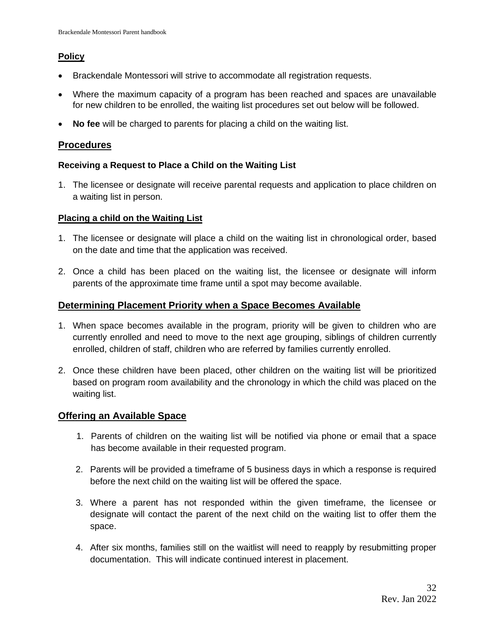# **Policy**

- Brackendale Montessori will strive to accommodate all registration requests.
- Where the maximum capacity of a program has been reached and spaces are unavailable for new children to be enrolled, the waiting list procedures set out below will be followed.
- **No fee** will be charged to parents for placing a child on the waiting list.

# **Procedures**

# **Receiving a Request to Place a Child on the Waiting List**

1. The licensee or designate will receive parental requests and application to place children on a waiting list in person.

# **Placing a child on the Waiting List**

- 1. The licensee or designate will place a child on the waiting list in chronological order, based on the date and time that the application was received.
- 2. Once a child has been placed on the waiting list, the licensee or designate will inform parents of the approximate time frame until a spot may become available.

# **Determining Placement Priority when a Space Becomes Available**

- 1. When space becomes available in the program, priority will be given to children who are currently enrolled and need to move to the next age grouping, siblings of children currently enrolled, children of staff, children who are referred by families currently enrolled.
- 2. Once these children have been placed, other children on the waiting list will be prioritized based on program room availability and the chronology in which the child was placed on the waiting list.

# **Offering an Available Space**

- 1. Parents of children on the waiting list will be notified via phone or email that a space has become available in their requested program.
- 2. Parents will be provided a timeframe of 5 business days in which a response is required before the next child on the waiting list will be offered the space.
- 3. Where a parent has not responded within the given timeframe, the licensee or designate will contact the parent of the next child on the waiting list to offer them the space.
- 4. After six months, families still on the waitlist will need to reapply by resubmitting proper documentation. This will indicate continued interest in placement.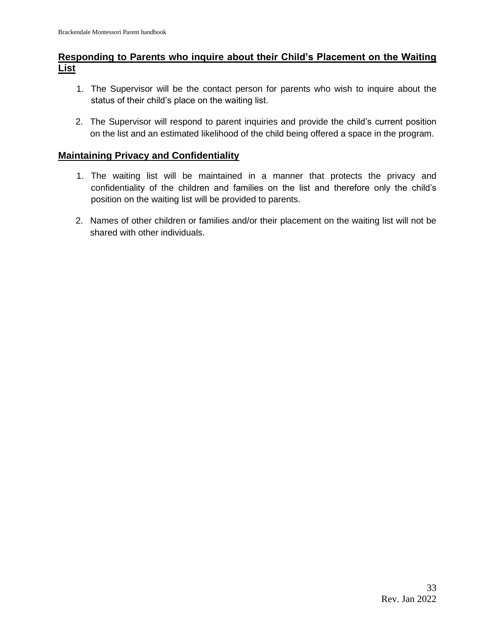# **Responding to Parents who inquire about their Child's Placement on the Waiting List**

- 1. The Supervisor will be the contact person for parents who wish to inquire about the status of their child's place on the waiting list.
- 2. The Supervisor will respond to parent inquiries and provide the child's current position on the list and an estimated likelihood of the child being offered a space in the program.

# **Maintaining Privacy and Confidentiality**

- 1. The waiting list will be maintained in a manner that protects the privacy and confidentiality of the children and families on the list and therefore only the child's position on the waiting list will be provided to parents.
- 2. Names of other children or families and/or their placement on the waiting list will not be shared with other individuals.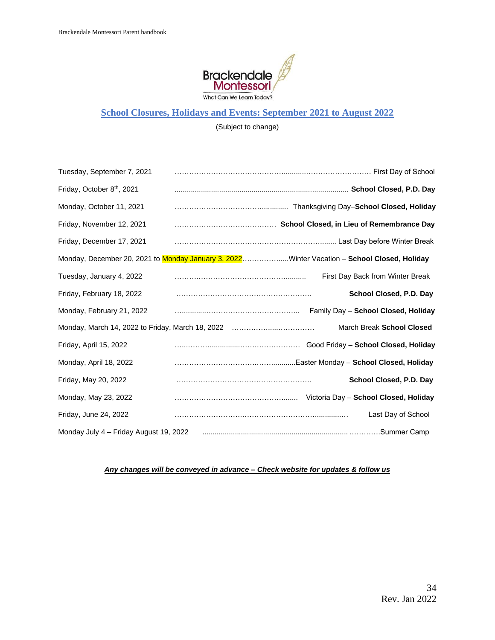

# **School Closures, Holidays and Events: September 2021 to August 2022**

(Subject to change)

| Tuesday, September 7, 2021             |                                                                                             |
|----------------------------------------|---------------------------------------------------------------------------------------------|
| Friday, October 8th, 2021              |                                                                                             |
| Monday, October 11, 2021               |                                                                                             |
| Friday, November 12, 2021              |                                                                                             |
| Friday, December 17, 2021              |                                                                                             |
|                                        | Monday, December 20, 2021 to Monday January 3, 2022Winter Vacation - School Closed, Holiday |
| Tuesday, January 4, 2022               | First Day Back from Winter Break                                                            |
| Friday, February 18, 2022              | School Closed, P.D. Day                                                                     |
| Monday, February 21, 2022              | Family Day - School Closed, Holiday                                                         |
|                                        | March Break School Closed<br>Monday, March 14, 2022 to Friday, March 18, 2022               |
| Friday, April 15, 2022                 |                                                                                             |
| Monday, April 18, 2022                 |                                                                                             |
| Friday, May 20, 2022                   | School Closed, P.D. Day                                                                     |
| Monday, May 23, 2022                   |                                                                                             |
| Friday, June 24, 2022                  | Last Day of School                                                                          |
| Monday July 4 - Friday August 19, 2022 |                                                                                             |

#### *Any changes will be conveyed in advance – Check website for updates & follow us*